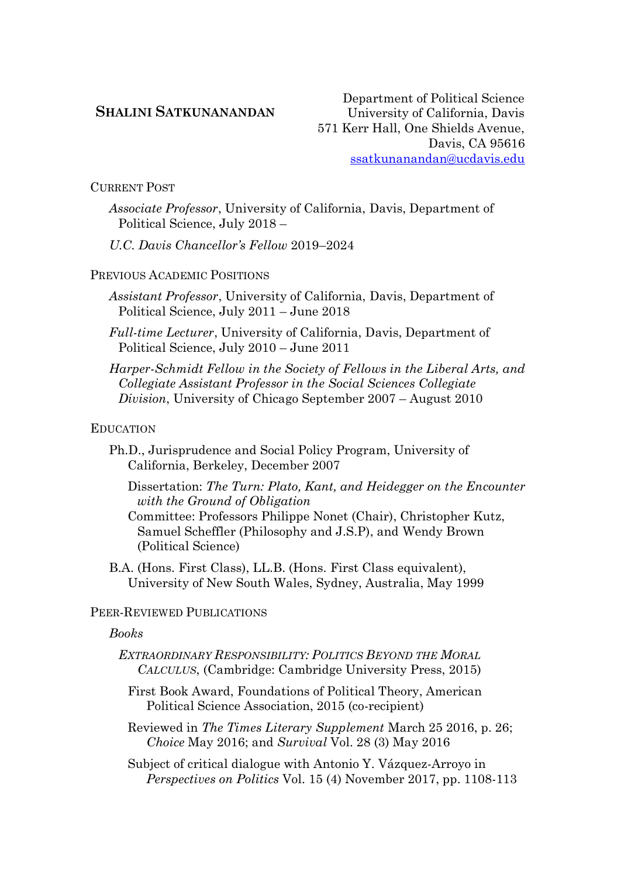## **SHALINI SATKUNANANDAN**

Department of Political Science University of California, Davis 571 Kerr Hall, One Shields Avenue, Davis, CA 95616 [ssatkunanandan@ucdavis.edu](mailto:ssatkunanandan@ucdavis.edu)

CURRENT POST

*Associate Professor*, University of California, Davis, Department of Political Science, July 2018 –

*U.C. Davis Chancellor's Fellow* 2019–2024

PREVIOUS ACADEMIC POSITIONS

*Assistant Professor*, University of California, Davis, Department of Political Science, July 2011 – June 2018

*Full-time Lecturer*, University of California, Davis, Department of Political Science, July 2010 – June 2011

*Harper-Schmidt Fellow in the Society of Fellows in the Liberal Arts, and Collegiate Assistant Professor in the Social Sciences Collegiate Division*, University of Chicago September 2007 – August 2010

#### EDUCATION

Ph.D., Jurisprudence and Social Policy Program, University of California, Berkeley, December 2007

Dissertation: *The Turn: Plato, Kant, and Heidegger on the Encounter with the Ground of Obligation*

Committee: Professors Philippe Nonet (Chair), Christopher Kutz, Samuel Scheffler (Philosophy and J.S.P), and Wendy Brown (Political Science)

B.A. (Hons. First Class), LL.B. (Hons. First Class equivalent), University of New South Wales, Sydney, Australia, May 1999

# PEER-REVIEWED PUBLICATIONS

### *Books*

*EXTRAORDINARY RESPONSIBILITY: POLITICS BEYOND THE MORAL CALCULUS*, (Cambridge: Cambridge University Press, 2015)

First Book Award, Foundations of Political Theory, American Political Science Association, 2015 (co-recipient)

Reviewed in *The Times Literary Supplement* March 25 2016, p. 26; *Choice* May 2016; and *Survival* Vol. 28 (3) May 2016

Subject of critical dialogue with Antonio Y. Vázquez-Arroyo in *Perspectives on Politics* Vol. 15 (4) November 2017, pp. 1108-113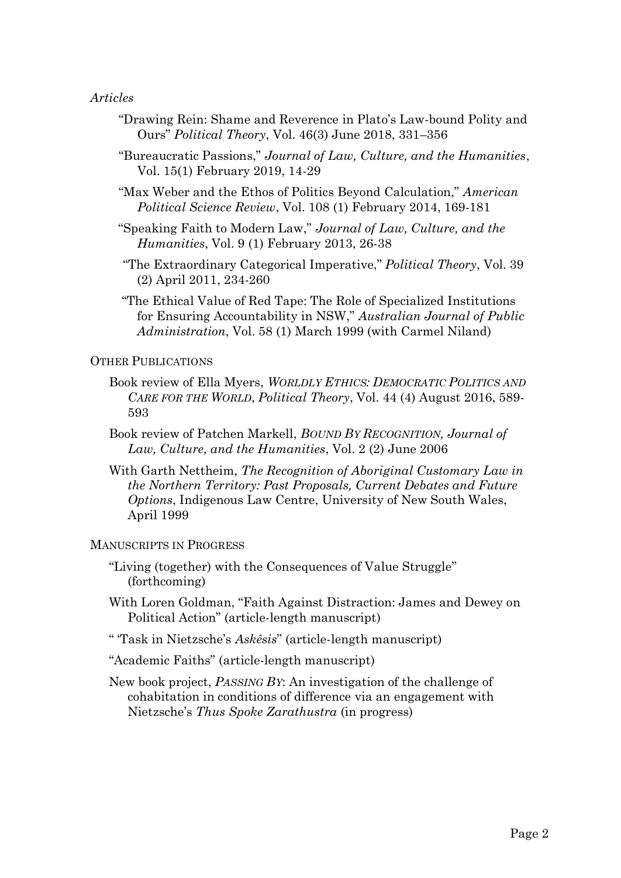## *Articles*

- "Drawing Rein: Shame and Reverence in Plato's Law-bound Polity and Ours" *Political Theory*, Vol. 46(3) June 2018, 331–356
- "Bureaucratic Passions," *Journal of Law, Culture, and the Humanities*, Vol. 15(1) February 2019, 14-29
- "Max Weber and the Ethos of Politics Beyond Calculation," *American Political Science Review*, Vol. 108 (1) February 2014, 169-181
- "Speaking Faith to Modern Law," *Journal of Law, Culture, and the Humanities*, Vol. 9 (1) February 2013, 26-38
- "The Extraordinary Categorical Imperative," *Political Theory*, Vol. 39 (2) April 2011, 234-260
- "The Ethical Value of Red Tape: The Role of Specialized Institutions for Ensuring Accountability in NSW," *Australian Journal of Public Administration*, Vol. 58 (1) March 1999 (with Carmel Niland)

### OTHER PUBLICATIONS

- Book review of Ella Myers, *WORLDLY ETHICS: DEMOCRATIC POLITICS AND CARE FOR THE WORLD*, *Political Theory*, Vol. 44 (4) August 2016, 589- 593
- Book review of Patchen Markell, *BOUND BY RECOGNITION, Journal of Law, Culture, and the Humanities*, Vol. 2 (2) June 2006
- With Garth Nettheim, *The Recognition of Aboriginal Customary Law in the Northern Territory: Past Proposals, Current Debates and Future Options*, Indigenous Law Centre, University of New South Wales, April 1999

#### MANUSCRIPTS IN PROGRESS

- "Living (together) with the Consequences of Value Struggle" (forthcoming)
- With Loren Goldman, "Faith Against Distraction: James and Dewey on Political Action" (article-length manuscript)
- " 'Task in Nietzsche's *Askêsis*" (article-length manuscript)

"Academic Faiths" (article-length manuscript)

New book project, *PASSING BY*: An investigation of the challenge of cohabitation in conditions of difference via an engagement with Nietzsche's *Thus Spoke Zarathustra* (in progress)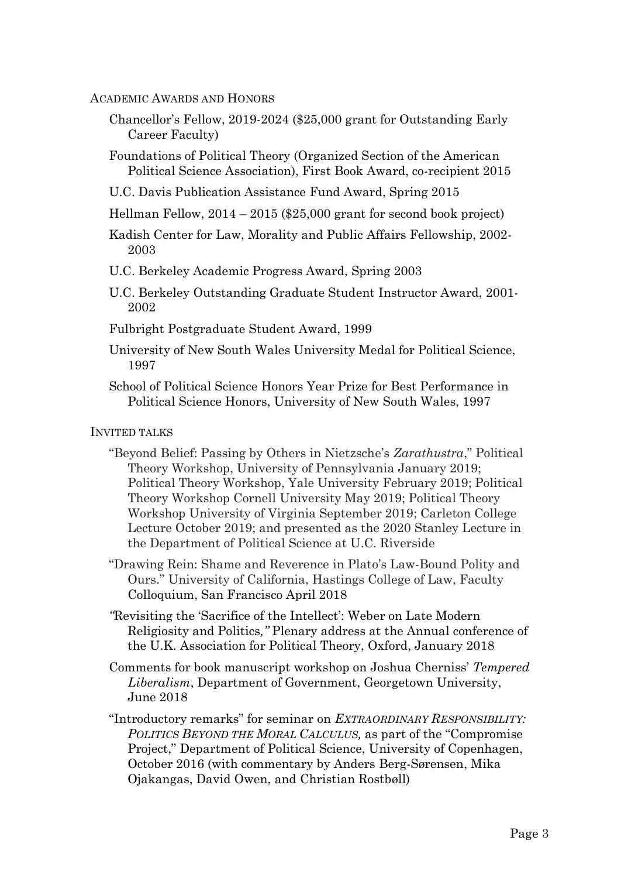### ACADEMIC AWARDS AND HONORS

- Chancellor's Fellow, 2019-2024 (\$25,000 grant for Outstanding Early Career Faculty)
- Foundations of Political Theory (Organized Section of the American Political Science Association), First Book Award, co-recipient 2015
- U.C. Davis Publication Assistance Fund Award, Spring 2015
- Hellman Fellow, 2014 2015 (\$25,000 grant for second book project)
- Kadish Center for Law, Morality and Public Affairs Fellowship, 2002- 2003
- U.C. Berkeley Academic Progress Award, Spring 2003
- U.C. Berkeley Outstanding Graduate Student Instructor Award, 2001- 2002
- Fulbright Postgraduate Student Award, 1999
- University of New South Wales University Medal for Political Science, 1997
- School of Political Science Honors Year Prize for Best Performance in Political Science Honors, University of New South Wales, 1997

## INVITED TALKS

- "Beyond Belief: Passing by Others in Nietzsche's *Zarathustra*," Political Theory Workshop, University of Pennsylvania January 2019; Political Theory Workshop, Yale University February 2019; Political Theory Workshop Cornell University May 2019; Political Theory Workshop University of Virginia September 2019; Carleton College Lecture October 2019; and presented as the 2020 Stanley Lecture in the Department of Political Science at U.C. Riverside
- "Drawing Rein: Shame and Reverence in Plato's Law-Bound Polity and Ours." University of California, Hastings College of Law, Faculty Colloquium, San Francisco April 2018
- *"*Revisiting the 'Sacrifice of the Intellect': Weber on Late Modern Religiosity and Politics*,"* Plenary address at the Annual conference of the U.K. Association for Political Theory, Oxford, January 2018
- Comments for book manuscript workshop on Joshua Cherniss' *Tempered Liberalism*, Department of Government, Georgetown University, June 2018
- "Introductory remarks" for seminar on *EXTRAORDINARY RESPONSIBILITY: POLITICS BEYOND THE MORAL CALCULUS,* as part of the "Compromise Project," Department of Political Science, University of Copenhagen, October 2016 (with commentary by Anders Berg-Sørensen, Mika Ojakangas, David Owen, and Christian Rostbøll)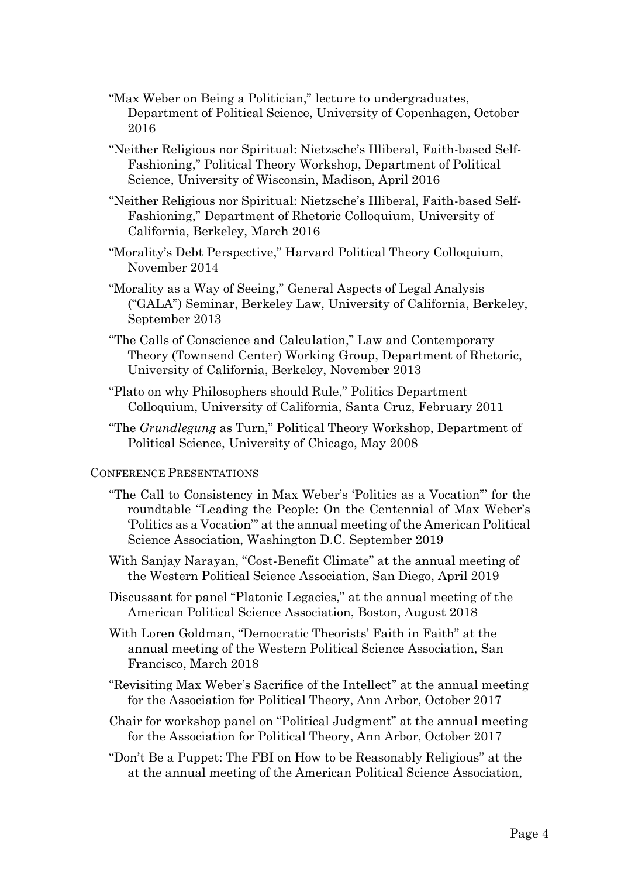- "Max Weber on Being a Politician," lecture to undergraduates, Department of Political Science, University of Copenhagen, October 2016
- "Neither Religious nor Spiritual: Nietzsche's Illiberal, Faith-based Self-Fashioning," Political Theory Workshop, Department of Political Science, University of Wisconsin, Madison, April 2016
- "Neither Religious nor Spiritual: Nietzsche's Illiberal, Faith-based Self-Fashioning," Department of Rhetoric Colloquium, University of California, Berkeley, March 2016
- "Morality's Debt Perspective," Harvard Political Theory Colloquium, November 2014
- "Morality as a Way of Seeing," General Aspects of Legal Analysis ("GALA") Seminar, Berkeley Law, University of California, Berkeley, September 2013
- "The Calls of Conscience and Calculation," Law and Contemporary Theory (Townsend Center) Working Group, Department of Rhetoric, University of California, Berkeley, November 2013
- "Plato on why Philosophers should Rule," Politics Department Colloquium, University of California, Santa Cruz, February 2011
- "The *Grundlegung* as Turn," Political Theory Workshop, Department of Political Science, University of Chicago, May 2008

### CONFERENCE PRESENTATIONS

- "The Call to Consistency in Max Weber's 'Politics as a Vocation'" for the roundtable "Leading the People: On the Centennial of Max Weber's 'Politics as a Vocation'" at the annual meeting of the American Political Science Association, Washington D.C. September 2019
- With Sanjay Narayan, "Cost-Benefit Climate" at the annual meeting of the Western Political Science Association, San Diego, April 2019
- Discussant for panel "Platonic Legacies," at the annual meeting of the American Political Science Association, Boston, August 2018
- With Loren Goldman, "Democratic Theorists' Faith in Faith" at the annual meeting of the Western Political Science Association, San Francisco, March 2018
- "Revisiting Max Weber's Sacrifice of the Intellect" at the annual meeting for the Association for Political Theory, Ann Arbor, October 2017
- Chair for workshop panel on "Political Judgment" at the annual meeting for the Association for Political Theory, Ann Arbor, October 2017
- "Don't Be a Puppet: The FBI on How to be Reasonably Religious" at the at the annual meeting of the American Political Science Association,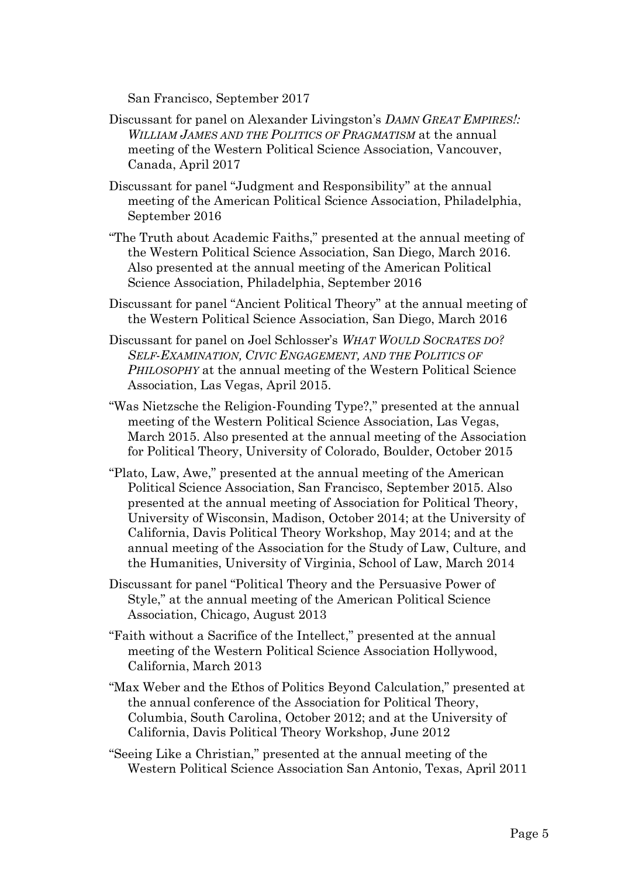San Francisco, September 2017

- Discussant for panel on Alexander Livingston's *DAMN GREAT EMPIRES!: WILLIAM JAMES AND THE POLITICS OF PRAGMATISM* at the annual meeting of the Western Political Science Association, Vancouver, Canada, April 2017
- Discussant for panel "Judgment and Responsibility" at the annual meeting of the American Political Science Association, Philadelphia, September 2016
- "The Truth about Academic Faiths," presented at the annual meeting of the Western Political Science Association, San Diego, March 2016. Also presented at the annual meeting of the American Political Science Association, Philadelphia, September 2016
- Discussant for panel "Ancient Political Theory" at the annual meeting of the Western Political Science Association, San Diego, March 2016
- Discussant for panel on Joel Schlosser's *WHAT WOULD SOCRATES DO? SELF-EXAMINATION, CIVIC ENGAGEMENT, AND THE POLITICS OF PHILOSOPHY* at the annual meeting of the Western Political Science Association, Las Vegas, April 2015.
- "Was Nietzsche the Religion-Founding Type?," presented at the annual meeting of the Western Political Science Association, Las Vegas, March 2015. Also presented at the annual meeting of the Association for Political Theory, University of Colorado, Boulder, October 2015
- "Plato, Law, Awe," presented at the annual meeting of the American Political Science Association, San Francisco, September 2015. Also presented at the annual meeting of Association for Political Theory, University of Wisconsin, Madison, October 2014; at the University of California, Davis Political Theory Workshop, May 2014; and at the annual meeting of the Association for the Study of Law, Culture, and the Humanities, University of Virginia, School of Law, March 2014
- Discussant for panel "Political Theory and the Persuasive Power of Style," at the annual meeting of the American Political Science Association, Chicago, August 2013
- "Faith without a Sacrifice of the Intellect," presented at the annual meeting of the Western Political Science Association Hollywood, California, March 2013
- "Max Weber and the Ethos of Politics Beyond Calculation," presented at the annual conference of the Association for Political Theory, Columbia, South Carolina, October 2012; and at the University of California, Davis Political Theory Workshop, June 2012
- "Seeing Like a Christian," presented at the annual meeting of the Western Political Science Association San Antonio, Texas, April 2011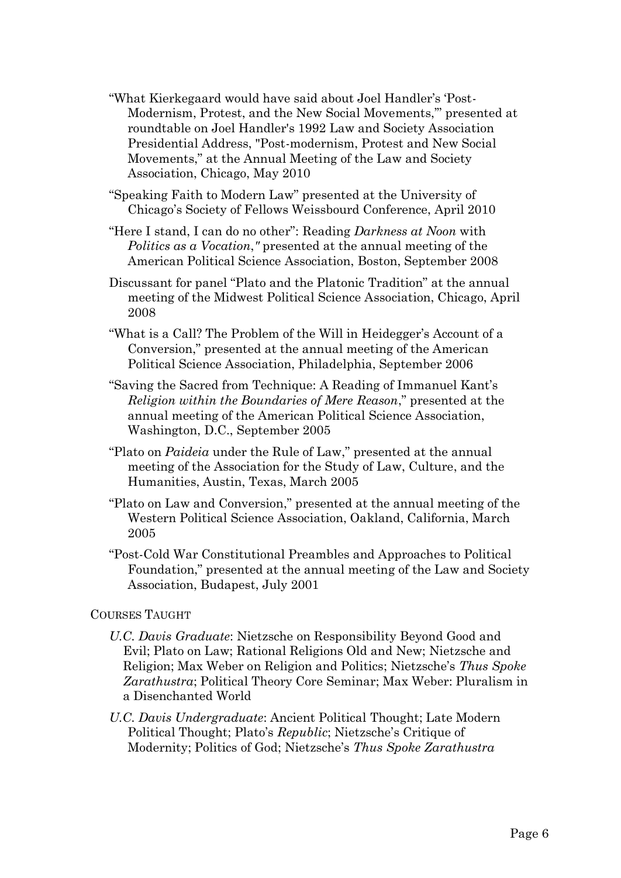- "What Kierkegaard would have said about Joel Handler's 'Post-Modernism, Protest, and the New Social Movements,'" presented at roundtable on Joel Handler's 1992 Law and Society Association Presidential Address, "Post-modernism, Protest and New Social Movements," at the Annual Meeting of the Law and Society Association, Chicago, May 2010
- "Speaking Faith to Modern Law" presented at the University of Chicago's Society of Fellows Weissbourd Conference, April 2010
- "Here I stand, I can do no other": Reading *Darkness at Noon* with *Politics as a Vocation*,*"* presented at the annual meeting of the American Political Science Association, Boston, September 2008
- Discussant for panel "Plato and the Platonic Tradition" at the annual meeting of the Midwest Political Science Association, Chicago, April 2008
- "What is a Call? The Problem of the Will in Heidegger's Account of a Conversion," presented at the annual meeting of the American Political Science Association, Philadelphia, September 2006
- "Saving the Sacred from Technique: A Reading of Immanuel Kant's *Religion within the Boundaries of Mere Reason*," presented at the annual meeting of the American Political Science Association, Washington, D.C., September 2005
- "Plato on *Paideia* under the Rule of Law," presented at the annual meeting of the Association for the Study of Law, Culture, and the Humanities, Austin, Texas, March 2005
- "Plato on Law and Conversion," presented at the annual meeting of the Western Political Science Association, Oakland, California, March 2005
- "Post-Cold War Constitutional Preambles and Approaches to Political Foundation," presented at the annual meeting of the Law and Society Association, Budapest, July 2001

## COURSES TAUGHT

- *U.C. Davis Graduate*: Nietzsche on Responsibility Beyond Good and Evil; Plato on Law; Rational Religions Old and New; Nietzsche and Religion; Max Weber on Religion and Politics; Nietzsche's *Thus Spoke Zarathustra*; Political Theory Core Seminar; Max Weber: Pluralism in a Disenchanted World
- *U.C. Davis Undergraduate*: Ancient Political Thought; Late Modern Political Thought; Plato's *Republic*; Nietzsche's Critique of Modernity; Politics of God; Nietzsche's *Thus Spoke Zarathustra*